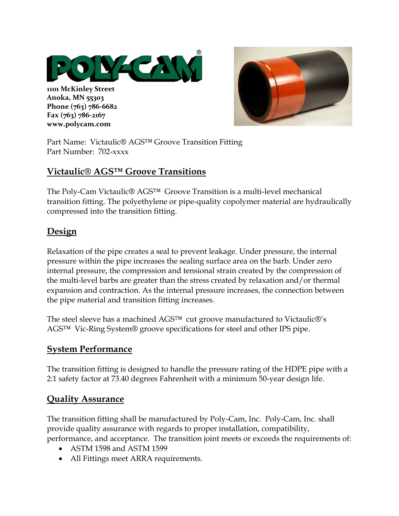

**1101 McKinley Street Anoka, MN 55303 Phone (763) 786-6682 Fax (763) 786-2167 www.polycam.com**



Part Name: Victaulic® AGS™ Groove Transition Fitting Part Number: 702-xxxx

## **Victaulic® AGS™ Groove Transitions**

The Poly-Cam Victaulic® AGS™ Groove Transition is a multi-level mechanical transition fitting. The polyethylene or pipe-quality copolymer material are hydraulically compressed into the transition fitting.

## **Design**

Relaxation of the pipe creates a seal to prevent leakage. Under pressure, the internal pressure within the pipe increases the sealing surface area on the barb. Under zero internal pressure, the compression and tensional strain created by the compression of the multi-level barbs are greater than the stress created by relaxation and/or thermal expansion and contraction. As the internal pressure increases, the connection between the pipe material and transition fitting increases.

The steel sleeve has a machined AGS<sup>™</sup> cut groove manufactured to Victaulic<sup>®'</sup>s AGS™ Vic-Ring System® groove specifications for steel and other IPS pipe.

### **System Performance**

The transition fitting is designed to handle the pressure rating of the HDPE pipe with a 2:1 safety factor at 73.40 degrees Fahrenheit with a minimum 50-year design life.

### **Quality Assurance**

The transition fitting shall be manufactured by Poly-Cam, Inc. Poly-Cam, Inc. shall provide quality assurance with regards to proper installation, compatibility,

- performance, and acceptance. The transition joint meets or exceeds the requirements of:
	- ASTM 1598 and ASTM 1599
	- All Fittings meet ARRA requirements.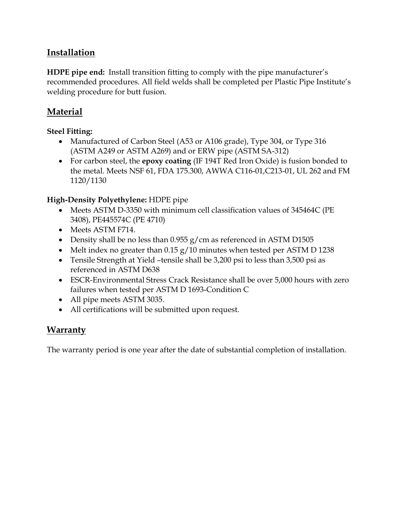## **Installation**

**HDPE pipe end:** Install transition fitting to comply with the pipe manufacturer's recommended procedures. All field welds shall be completed per Plastic Pipe Institute's welding procedure for butt fusion.

## **Material**

### **Steel Fitting:**

- Manufactured of Carbon Steel (A53 or A106 grade), Type 304, or Type 316 (ASTM A249 or ASTM A269) and or ERW pipe (ASTM SA-312)
- For carbon steel, the **epoxy coating** (IF 194T Red Iron Oxide) is fusion bonded to the metal. Meets NSF 61, FDA 175.300, AWWA C116-01,C213-01, UL 262 and FM 1120/1130

### **High-Density Polyethylene:** HDPE pipe

- Meets ASTM D-3350 with minimum cell classification values of 345464C (PE 3408), PE445574C (PE 4710)
- Meets ASTM F714.
- Density shall be no less than  $0.955$  g/cm as referenced in ASTM D1505
- Melt index no greater than 0.15 g/10 minutes when tested per ASTM D 1238
- Tensile Strength at Yield –tensile shall be 3,200 psi to less than 3,500 psi as referenced in ASTM D638
- ESCR-Environmental Stress Crack Resistance shall be over 5,000 hours with zero failures when tested per ASTM D 1693-Condition C
- All pipe meets ASTM 3035.
- All certifications will be submitted upon request.

## **Warranty**

The warranty period is one year after the date of substantial completion of installation.